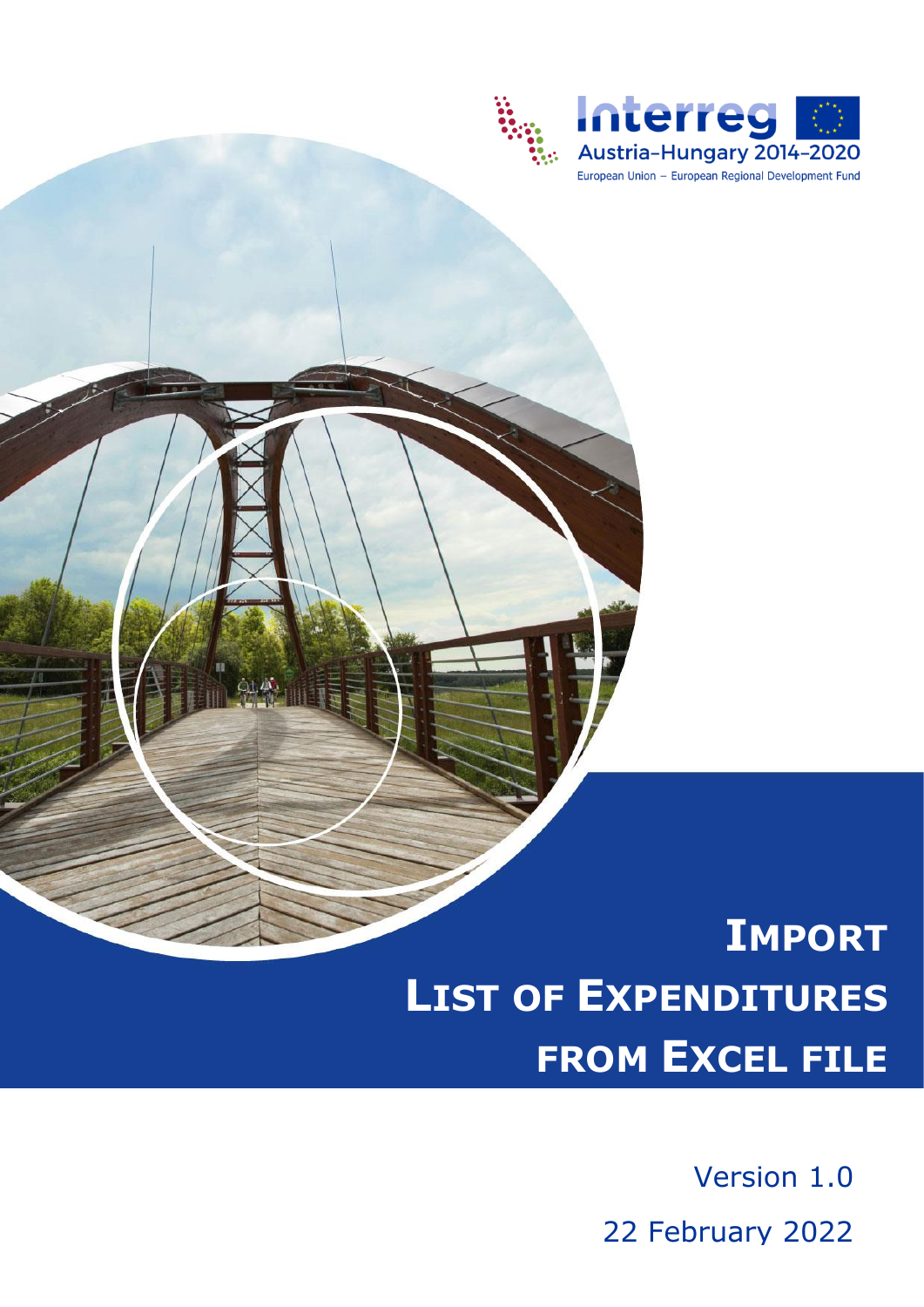

# **IMPORT LIST OF EXPENDITURES FROM EXCEL FILE**

Version 1.0 22 February 2022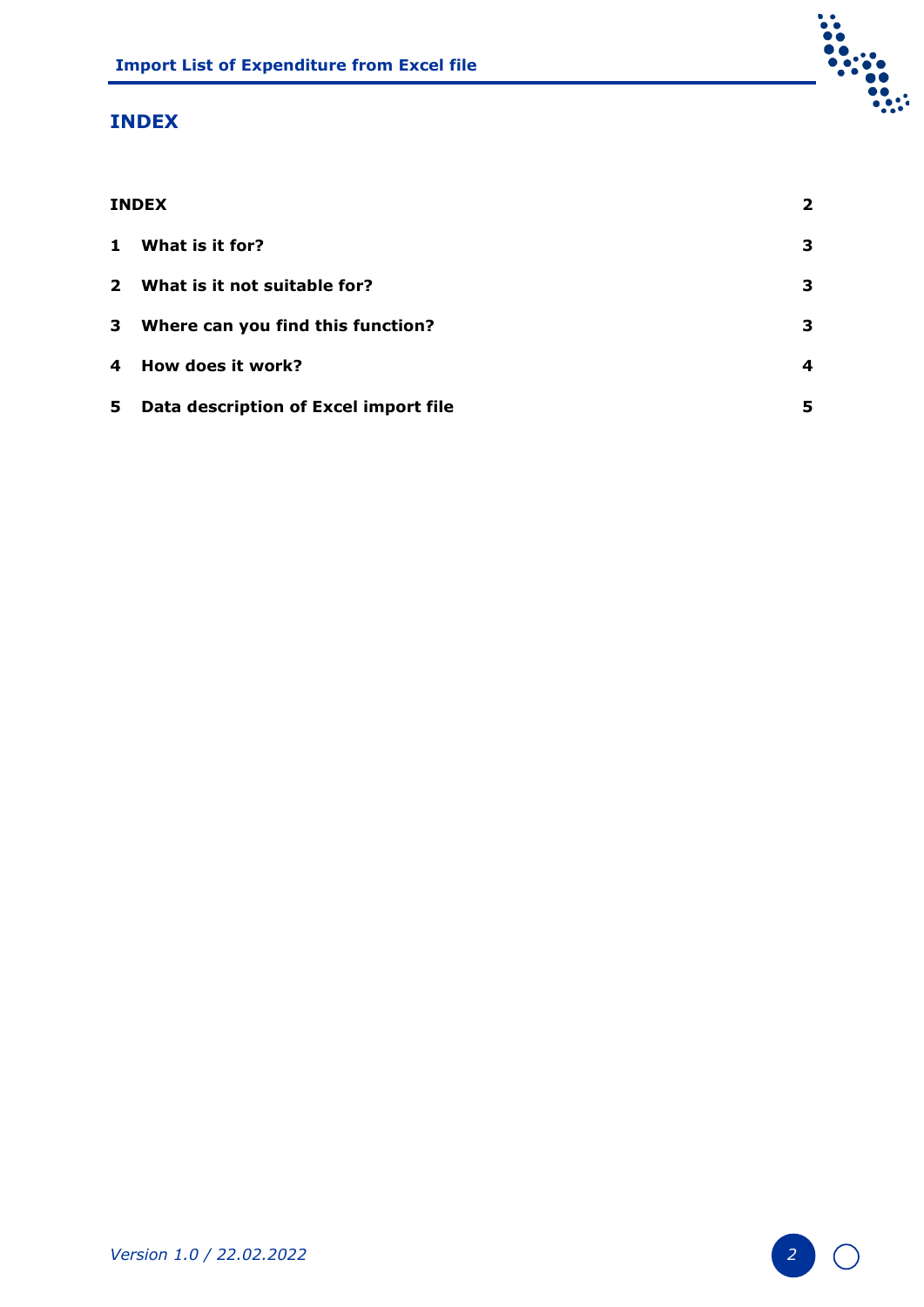## <span id="page-1-0"></span>**INDEX**

| <b>INDEX</b> |                                       |    |  |
|--------------|---------------------------------------|----|--|
| $\mathbf{1}$ | What is it for?                       | З. |  |
|              | 2 What is it not suitable for?        | 3  |  |
| 3            | Where can you find this function?     | З. |  |
| 4            | How does it work?                     | 4  |  |
| 5            | Data description of Excel import file | 5  |  |

Į.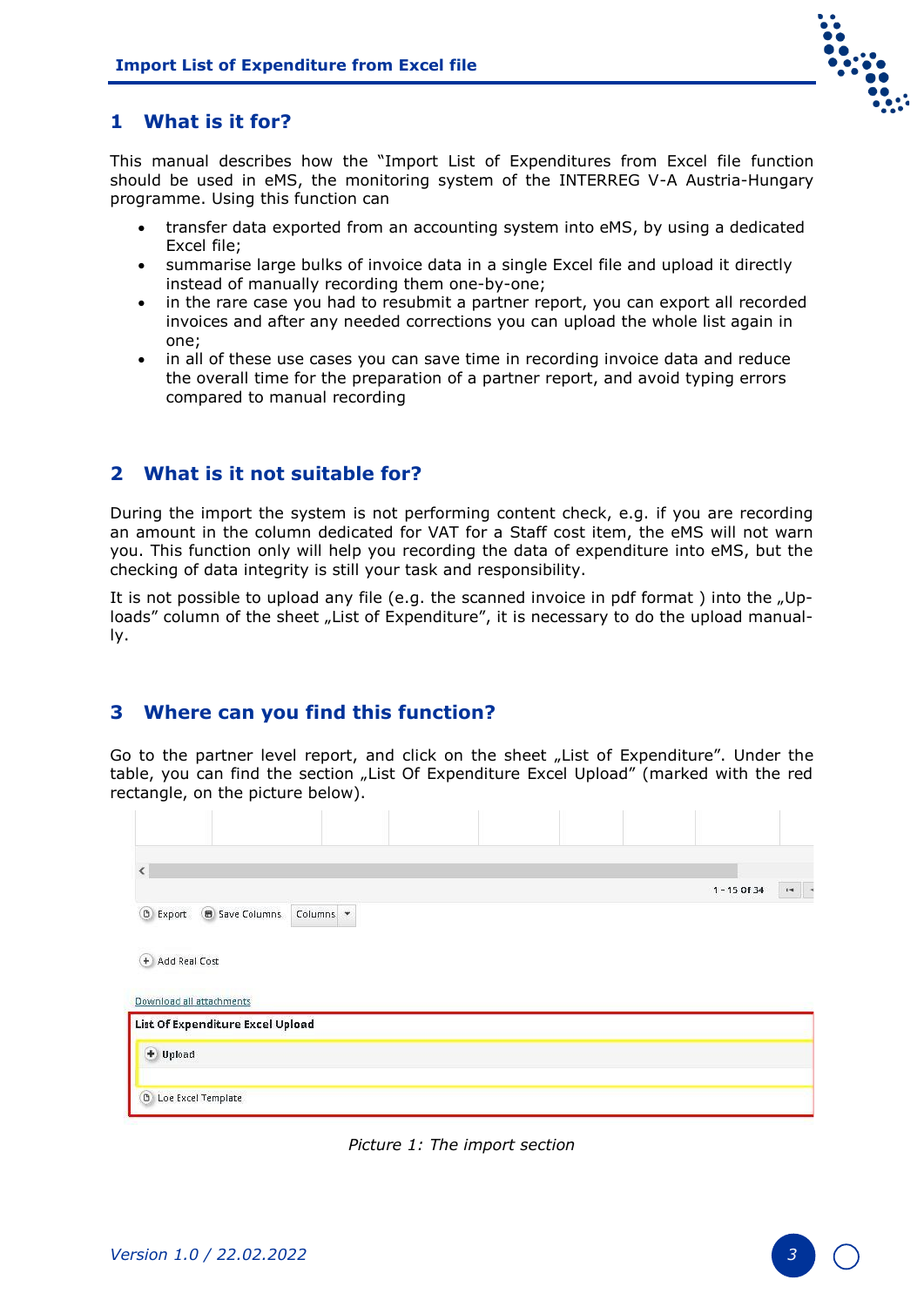

### <span id="page-2-0"></span>**1 What is it for?**

This manual describes how the "Import List of Expenditures from Excel file function should be used in eMS, the monitoring system of the INTERREG V-A Austria-Hungary programme. Using this function can

- transfer data exported from an accounting system into eMS, by using a dedicated Excel file;
- summarise large bulks of invoice data in a single Excel file and upload it directly instead of manually recording them one-by-one;
- in the rare case you had to resubmit a partner report, you can export all recorded invoices and after any needed corrections you can upload the whole list again in one;
- in all of these use cases you can save time in recording invoice data and reduce the overall time for the preparation of a partner report, and avoid typing errors compared to manual recording

#### <span id="page-2-1"></span>**2 What is it not suitable for?**

During the import the system is not performing content check, e.g. if you are recording an amount in the column dedicated for VAT for a Staff cost item, the eMS will not warn you. This function only will help you recording the data of expenditure into eMS, but the checking of data integrity is still your task and responsibility.

It is not possible to upload any file (e.g. the scanned invoice in pdf format) into the "Uploads" column of the sheet "List of Expenditure", it is necessary to do the upload manually.

#### <span id="page-2-2"></span>**3 Where can you find this function?**

Go to the partner level report, and click on the sheet "List of Expenditure". Under the table, you can find the section "List Of Expenditure Excel Upload" (marked with the red rectangle, on the picture below).

| <b>D</b> Export<br><b>B</b> Save Columns                     | Columns - |  |  | $1 - 15$ Of 34 | $14 - 4$ |
|--------------------------------------------------------------|-----------|--|--|----------------|----------|
| + Add Real Cost                                              |           |  |  |                |          |
| Download all attachments<br>List Of Expenditure Excel Upload |           |  |  |                |          |
| $+$ Upload                                                   |           |  |  |                |          |
| <b>B</b> Loe Excel Template                                  |           |  |  |                |          |

*Picture 1: The import section*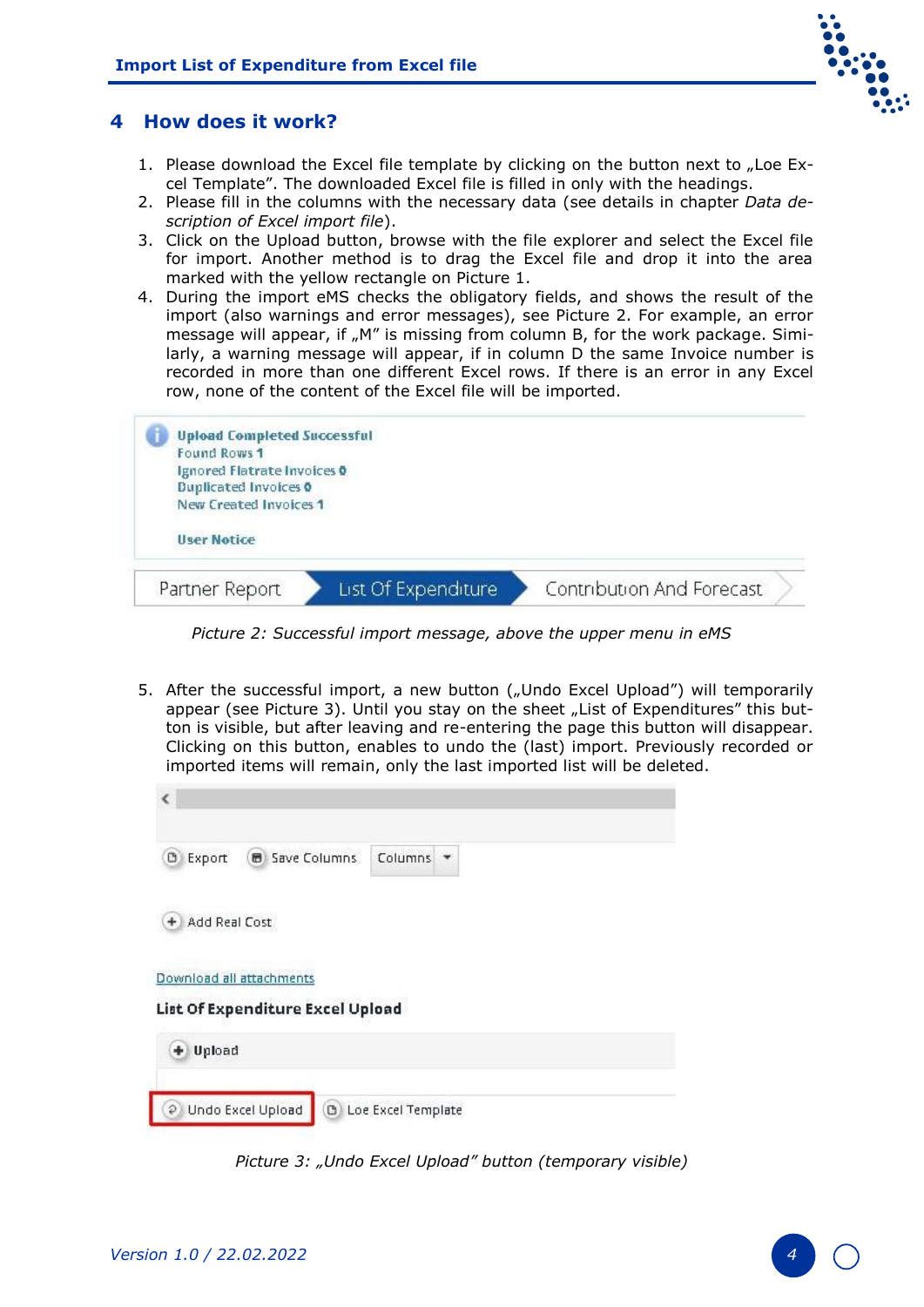

#### <span id="page-3-0"></span>**4 How does it work?**

- 1. Please download the Excel file template by clicking on the button next to "Loe Excel Template". The downloaded Excel file is filled in only with the headings.
- 2. Please fill in the columns with the necessary data (see details in chapter *[Data de](#page-4-0)[scription of Excel import file](#page-4-0)*).
- 3. Click on the Upload button, browse with the file explorer and select the Excel file for import. Another method is to drag the Excel file and drop it into the area marked with the yellow rectangle on Picture 1.
- 4. During the import eMS checks the obligatory fields, and shows the result of the import (also warnings and error messages), see Picture 2. For example, an error message will appear, if "M" is missing from column B, for the work package. Similarly, a warning message will appear, if in column D the same Invoice number is recorded in more than one different Excel rows. If there is an error in any Excel row, none of the content of the Excel file will be imported.



*Picture 2: Successful import message, above the upper menu in eMS*

5. After the successful import, a new button ("Undo Excel Upload") will temporarily appear (see Picture 3). Until you stay on the sheet "List of Expenditures" this button is visible, but after leaving and re-entering the page this button will disappear. Clicking on this button, enables to undo the (last) import. Previously recorded or imported items will remain, only the last imported list will be deleted.



*Picture 3: "Undo Excel Upload" button (temporary visible)*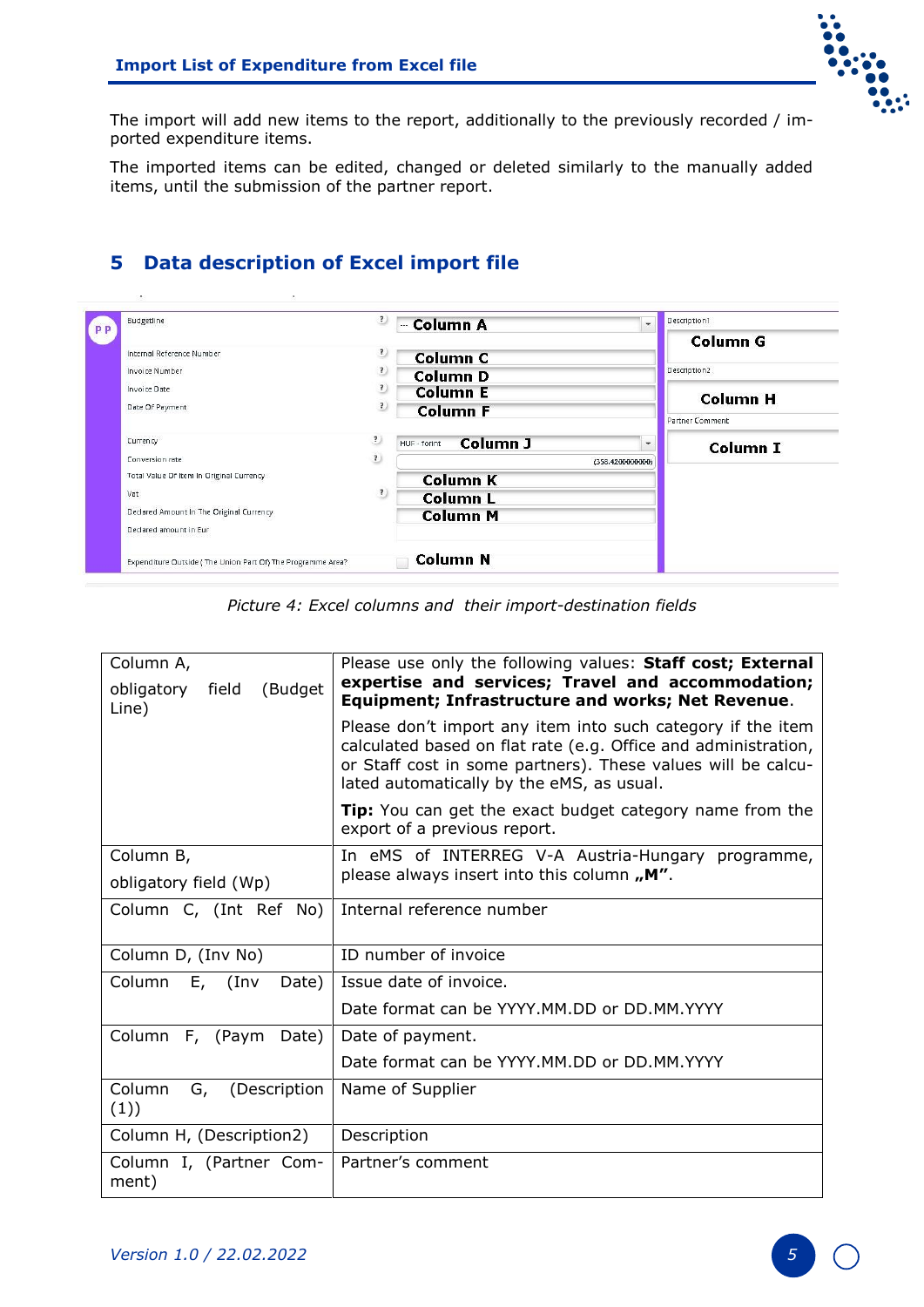

The import will add new items to the report, additionally to the previously recorded / imported expenditure items.

The imported items can be edited, changed or deleted similarly to the manually added items, until the submission of the partner report.

#### Budgetline <sup>2</sup> - Column A Description1  $\ddot{\phantom{1}}$ **PP Column G** Internal Reference Number  $\overline{\mathbf{r}}$ **Column C** Description<sub>2</sub> Invoice Number  $\overline{\mathbf{?}}$ **Column D Invoice Date**  $\overline{\mathbf{?}}$ **Column E Column H** Date Of Payment  $\overline{\mathbf{r}}$ **Column F** .<br>Partner Comment Currency  $\overline{\mathbf{?}}$ HUF - forint Column J  $\ddot{}$ **Column I** Conversion rate  $\overline{\mathbf{?}}$ (358.4200000000) Total Value Of Item In Original Currency **Column K**  $\overline{\mathbf{r}}$ Vat **Column L** Declared Amount In The Original Currency **Column M** Declared amount in Eur **Column N** Expenditure Outside (The Union Part Of) The Programme Area?

*Picture 4: Excel columns and their import-destination fields* 

| Column A,                               | Please use only the following values: Staff cost; External                                                                                                                                                                                 |  |  |  |  |
|-----------------------------------------|--------------------------------------------------------------------------------------------------------------------------------------------------------------------------------------------------------------------------------------------|--|--|--|--|
| (Budget<br>obligatory<br>field<br>Line) | expertise and services; Travel and accommodation;<br><b>Equipment; Infrastructure and works; Net Revenue.</b>                                                                                                                              |  |  |  |  |
|                                         | Please don't import any item into such category if the item<br>calculated based on flat rate (e.g. Office and administration,<br>or Staff cost in some partners). These values will be calcu-<br>lated automatically by the eMS, as usual. |  |  |  |  |
|                                         | <b>Tip:</b> You can get the exact budget category name from the<br>export of a previous report.                                                                                                                                            |  |  |  |  |
| Column B,                               | In eMS of INTERREG V-A Austria-Hungary programme,                                                                                                                                                                                          |  |  |  |  |
| obligatory field (Wp)                   | please always insert into this column, M".                                                                                                                                                                                                 |  |  |  |  |
| Column C, (Int Ref No)                  | Internal reference number                                                                                                                                                                                                                  |  |  |  |  |
| Column D, (Inv No)                      | ID number of invoice                                                                                                                                                                                                                       |  |  |  |  |
| Column<br>$E,$ (Inv<br>Date)            | Issue date of invoice.                                                                                                                                                                                                                     |  |  |  |  |
|                                         | Date format can be YYYY.MM.DD or DD.MM.YYYY                                                                                                                                                                                                |  |  |  |  |
| Column F, (Paym<br>Date)                | Date of payment.                                                                                                                                                                                                                           |  |  |  |  |
|                                         | Date format can be YYYY.MM.DD or DD.MM.YYYY                                                                                                                                                                                                |  |  |  |  |
| Column<br>G,<br>(Description<br>(1))    | Name of Supplier                                                                                                                                                                                                                           |  |  |  |  |
| Column H, (Description2)                | Description                                                                                                                                                                                                                                |  |  |  |  |
| Column I, (Partner Com-<br>ment)        | Partner's comment                                                                                                                                                                                                                          |  |  |  |  |

# <span id="page-4-0"></span>**5 Data description of Excel import file**